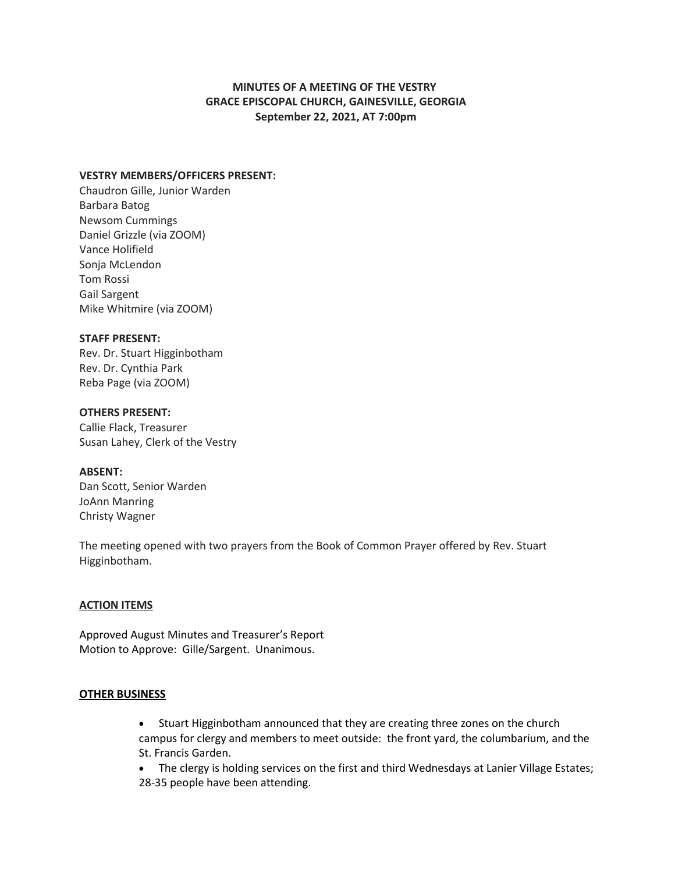# **MINUTES OF A MEETING OF THE VESTRY GRACE EPISCOPAL CHURCH, GAINESVILLE, GEORGIA September 22, 2021, AT 7:00pm**

# **VESTRY MEMBERS/OFFICERS PRESENT:**

Chaudron Gille, Junior Warden Barbara Batog Newsom Cummings Daniel Grizzle (via ZOOM) Vance Holifield Sonja McLendon Tom Rossi Gail Sargent Mike Whitmire (via ZOOM)

### **STAFF PRESENT:**

Rev. Dr. Stuart Higginbotham Rev. Dr. Cynthia Park Reba Page (via ZOOM)

## **OTHERS PRESENT:**

Callie Flack, Treasurer Susan Lahey, Clerk of the Vestry

#### **ABSENT:**

Dan Scott, Senior Warden JoAnn Manring Christy Wagner

The meeting opened with two prayers from the Book of Common Prayer offered by Rev. Stuart Higginbotham.

## **ACTION ITEMS**

Approved August Minutes and Treasurer's Report Motion to Approve: Gille/Sargent. Unanimous.

#### **OTHER BUSINESS**

• Stuart Higginbotham announced that they are creating three zones on the church campus for clergy and members to meet outside: the front yard, the columbarium, and the St. Francis Garden.

• The clergy is holding services on the first and third Wednesdays at Lanier Village Estates; 28-35 people have been attending.